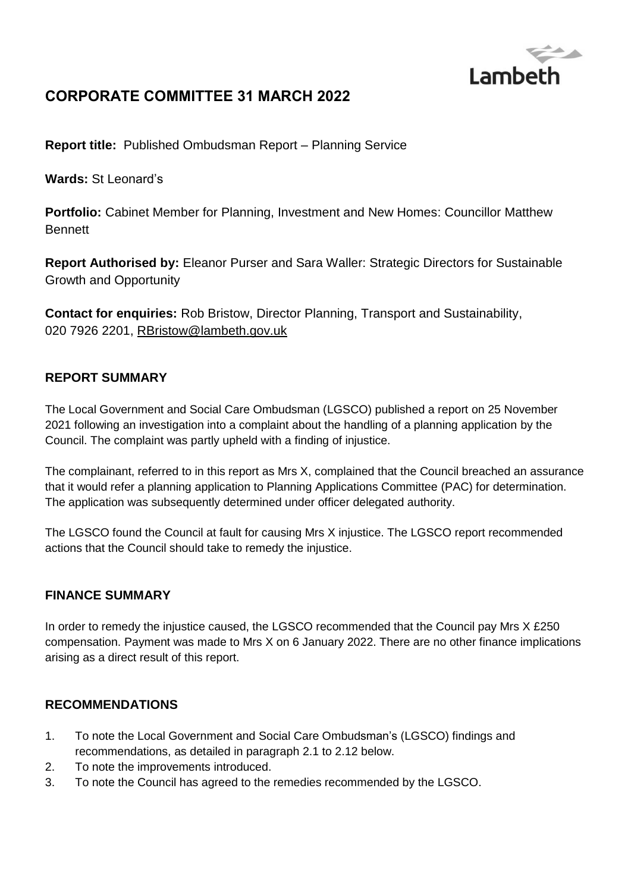

# **CORPORATE COMMITTEE 31 MARCH 2022**

**Report title:** Published Ombudsman Report – Planning Service

**Wards:** St Leonard's

**Portfolio:** Cabinet Member for Planning, Investment and New Homes: Councillor Matthew Bennett

**Report Authorised by:** Eleanor Purser and Sara Waller: Strategic Directors for Sustainable Growth and Opportunity

**Contact for enquiries:** Rob Bristow, Director Planning, Transport and Sustainability, 020 7926 2201, [RBristow@lambeth.gov.uk](mailto:RBristow@lambeth.gov.uk)

## **REPORT SUMMARY**

The Local Government and Social Care Ombudsman (LGSCO) published a report on 25 November 2021 following an investigation into a complaint about the handling of a planning application by the Council. The complaint was partly upheld with a finding of injustice.

The complainant, referred to in this report as Mrs X, complained that the Council breached an assurance that it would refer a planning application to Planning Applications Committee (PAC) for determination. The application was subsequently determined under officer delegated authority.

The LGSCO found the Council at fault for causing Mrs X injustice. The LGSCO report recommended actions that the Council should take to remedy the injustice.

## **FINANCE SUMMARY**

In order to remedy the injustice caused, the LGSCO recommended that the Council pay Mrs X £250 compensation. Payment was made to Mrs X on 6 January 2022. There are no other finance implications arising as a direct result of this report.

## **RECOMMENDATIONS**

- 1. To note the Local Government and Social Care Ombudsman's (LGSCO) findings and recommendations, as detailed in paragraph 2.1 to 2.12 below.
- 2. To note the improvements introduced.
- 3. To note the Council has agreed to the remedies recommended by the LGSCO.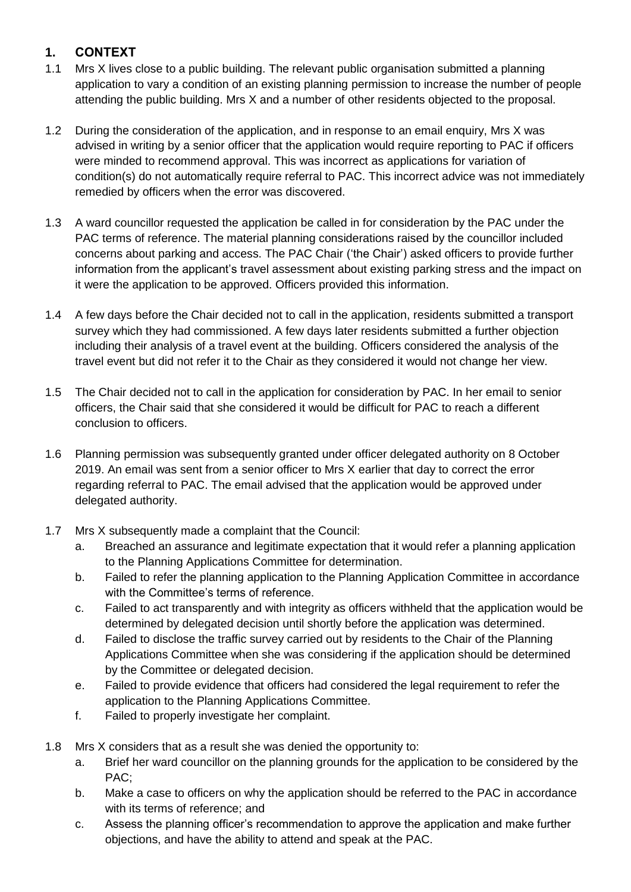## **1. CONTEXT**

- 1.1 Mrs X lives close to a public building. The relevant public organisation submitted a planning application to vary a condition of an existing planning permission to increase the number of people attending the public building. Mrs X and a number of other residents objected to the proposal.
- 1.2 During the consideration of the application, and in response to an email enquiry, Mrs X was advised in writing by a senior officer that the application would require reporting to PAC if officers were minded to recommend approval. This was incorrect as applications for variation of condition(s) do not automatically require referral to PAC. This incorrect advice was not immediately remedied by officers when the error was discovered.
- 1.3 A ward councillor requested the application be called in for consideration by the PAC under the PAC terms of reference. The material planning considerations raised by the councillor included concerns about parking and access. The PAC Chair ('the Chair') asked officers to provide further information from the applicant's travel assessment about existing parking stress and the impact on it were the application to be approved. Officers provided this information.
- 1.4 A few days before the Chair decided not to call in the application, residents submitted a transport survey which they had commissioned. A few days later residents submitted a further objection including their analysis of a travel event at the building. Officers considered the analysis of the travel event but did not refer it to the Chair as they considered it would not change her view.
- 1.5 The Chair decided not to call in the application for consideration by PAC. In her email to senior officers, the Chair said that she considered it would be difficult for PAC to reach a different conclusion to officers.
- 1.6 Planning permission was subsequently granted under officer delegated authority on 8 October 2019. An email was sent from a senior officer to Mrs X earlier that day to correct the error regarding referral to PAC. The email advised that the application would be approved under delegated authority.
- 1.7 Mrs X subsequently made a complaint that the Council:
	- a. Breached an assurance and legitimate expectation that it would refer a planning application to the Planning Applications Committee for determination.
	- b. Failed to refer the planning application to the Planning Application Committee in accordance with the Committee's terms of reference.
	- c. Failed to act transparently and with integrity as officers withheld that the application would be determined by delegated decision until shortly before the application was determined.
	- d. Failed to disclose the traffic survey carried out by residents to the Chair of the Planning Applications Committee when she was considering if the application should be determined by the Committee or delegated decision.
	- e. Failed to provide evidence that officers had considered the legal requirement to refer the application to the Planning Applications Committee.
	- f. Failed to properly investigate her complaint.
- 1.8 Mrs X considers that as a result she was denied the opportunity to:
	- a. Brief her ward councillor on the planning grounds for the application to be considered by the PAC;
	- b. Make a case to officers on why the application should be referred to the PAC in accordance with its terms of reference; and
	- c. Assess the planning officer's recommendation to approve the application and make further objections, and have the ability to attend and speak at the PAC.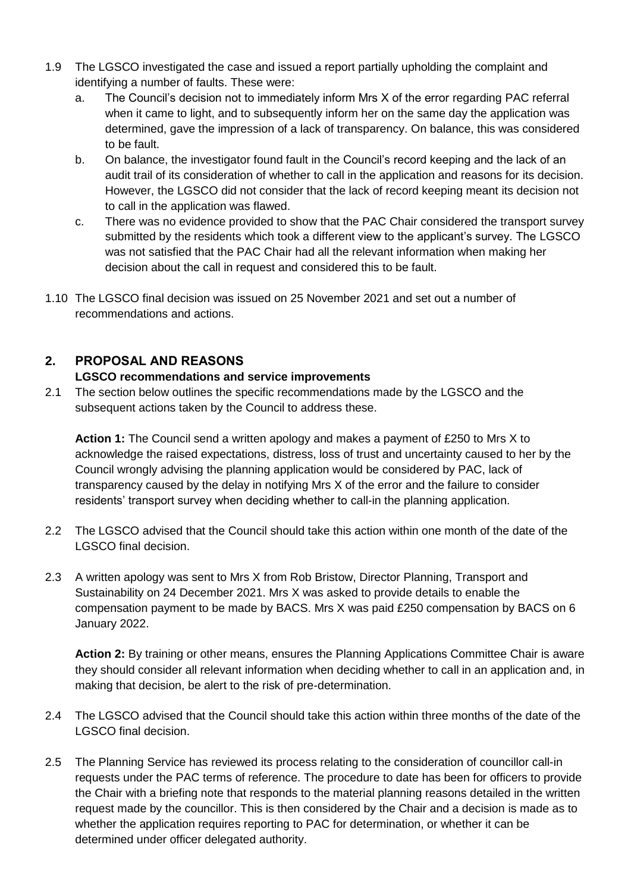- 1.9 The LGSCO investigated the case and issued a report partially upholding the complaint and identifying a number of faults. These were:
	- a. The Council's decision not to immediately inform Mrs X of the error regarding PAC referral when it came to light, and to subsequently inform her on the same day the application was determined, gave the impression of a lack of transparency. On balance, this was considered to be fault.
	- b. On balance, the investigator found fault in the Council's record keeping and the lack of an audit trail of its consideration of whether to call in the application and reasons for its decision. However, the LGSCO did not consider that the lack of record keeping meant its decision not to call in the application was flawed.
	- c. There was no evidence provided to show that the PAC Chair considered the transport survey submitted by the residents which took a different view to the applicant's survey. The LGSCO was not satisfied that the PAC Chair had all the relevant information when making her decision about the call in request and considered this to be fault.
- 1.10 The LGSCO final decision was issued on 25 November 2021 and set out a number of recommendations and actions.

# **2. PROPOSAL AND REASONS**

## **LGSCO recommendations and service improvements**

2.1 The section below outlines the specific recommendations made by the LGSCO and the subsequent actions taken by the Council to address these.

**Action 1:** The Council send a written apology and makes a payment of £250 to Mrs X to acknowledge the raised expectations, distress, loss of trust and uncertainty caused to her by the Council wrongly advising the planning application would be considered by PAC, lack of transparency caused by the delay in notifying Mrs X of the error and the failure to consider residents' transport survey when deciding whether to call-in the planning application.

- 2.2 The LGSCO advised that the Council should take this action within one month of the date of the LGSCO final decision.
- 2.3 A written apology was sent to Mrs X from Rob Bristow, Director Planning, Transport and Sustainability on 24 December 2021. Mrs X was asked to provide details to enable the compensation payment to be made by BACS. Mrs X was paid £250 compensation by BACS on 6 January 2022.

**Action 2:** By training or other means, ensures the Planning Applications Committee Chair is aware they should consider all relevant information when deciding whether to call in an application and, in making that decision, be alert to the risk of pre-determination.

- 2.4 The LGSCO advised that the Council should take this action within three months of the date of the LGSCO final decision.
- 2.5 The Planning Service has reviewed its process relating to the consideration of councillor call-in requests under the PAC terms of reference. The procedure to date has been for officers to provide the Chair with a briefing note that responds to the material planning reasons detailed in the written request made by the councillor. This is then considered by the Chair and a decision is made as to whether the application requires reporting to PAC for determination, or whether it can be determined under officer delegated authority.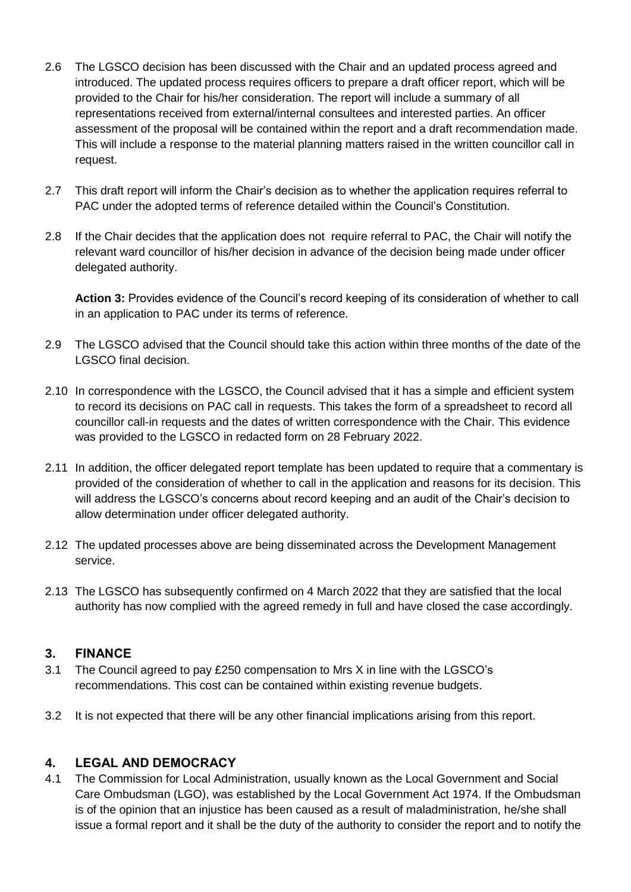- 2.6 The LGSCO decision has been discussed with the Chair and an updated process agreed and introduced. The updated process requires officers to prepare a draft officer report, which will be provided to the Chair for his/her consideration. The report will include a summary of all representations received from external/internal consultees and interested parties. An officer assessment of the proposal will be contained within the report and a draft recommendation made. This will include a response to the material planning matters raised in the written councillor call in request.
- 2.7 This draft report will inform the Chair's decision as to whether the application requires referral to PAC under the adopted terms of reference detailed within the Council's Constitution.
- 2.8 If the Chair decides that the application does not require referral to PAC, the Chair will notify the relevant ward councillor of his/her decision in advance of the decision being made under officer delegated authority.

**Action 3:** Provides evidence of the Council's record keeping of its consideration of whether to call in an application to PAC under its terms of reference.

- 2.9 The LGSCO advised that the Council should take this action within three months of the date of the LGSCO final decision.
- 2.10 In correspondence with the LGSCO, the Council advised that it has a simple and efficient system to record its decisions on PAC call in requests. This takes the form of a spreadsheet to record all councillor call-in requests and the dates of written correspondence with the Chair. This evidence was provided to the LGSCO in redacted form on 28 February 2022.
- 2.11 In addition, the officer delegated report template has been updated to require that a commentary is provided of the consideration of whether to call in the application and reasons for its decision. This will address the LGSCO's concerns about record keeping and an audit of the Chair's decision to allow determination under officer delegated authority.
- 2.12 The updated processes above are being disseminated across the Development Management service.
- 2.13 The LGSCO has subsequently confirmed on 4 March 2022 that they are satisfied that the local authority has now complied with the agreed remedy in full and have closed the case accordingly.

## **3. FINANCE**

- 3.1 The Council agreed to pay £250 compensation to Mrs X in line with the LGSCO's recommendations. This cost can be contained within existing revenue budgets.
- 3.2 It is not expected that there will be any other financial implications arising from this report.

## **4. LEGAL AND DEMOCRACY**

4.1 The Commission for Local Administration, usually known as the Local Government and Social Care Ombudsman (LGO), was established by the Local Government Act 1974. If the Ombudsman is of the opinion that an injustice has been caused as a result of maladministration, he/she shall issue a formal report and it shall be the duty of the authority to consider the report and to notify the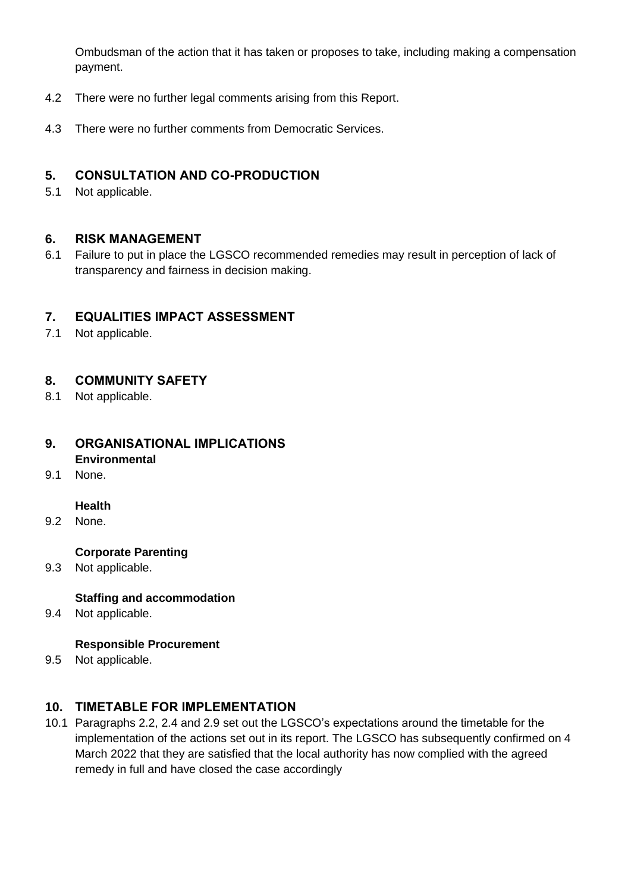Ombudsman of the action that it has taken or proposes to take, including making a compensation payment.

- 4.2 There were no further legal comments arising from this Report.
- 4.3 There were no further comments from Democratic Services.

### **5. CONSULTATION AND CO-PRODUCTION**

5.1 Not applicable.

#### **6. RISK MANAGEMENT**

6.1 Failure to put in place the LGSCO recommended remedies may result in perception of lack of transparency and fairness in decision making.

#### **7. EQUALITIES IMPACT ASSESSMENT**

7.1 Not applicable.

## **8. COMMUNITY SAFETY**

8.1 Not applicable.

#### **9. ORGANISATIONAL IMPLICATIONS Environmental**

9.1 None.

#### **Health**

9.2 None.

#### **Corporate Parenting**

9.3 Not applicable.

#### **Staffing and accommodation**

9.4 Not applicable.

#### **Responsible Procurement**

9.5 Not applicable.

## **10. TIMETABLE FOR IMPLEMENTATION**

10.1 Paragraphs 2.2, 2.4 and 2.9 set out the LGSCO's expectations around the timetable for the implementation of the actions set out in its report. The LGSCO has subsequently confirmed on 4 March 2022 that they are satisfied that the local authority has now complied with the agreed remedy in full and have closed the case accordingly